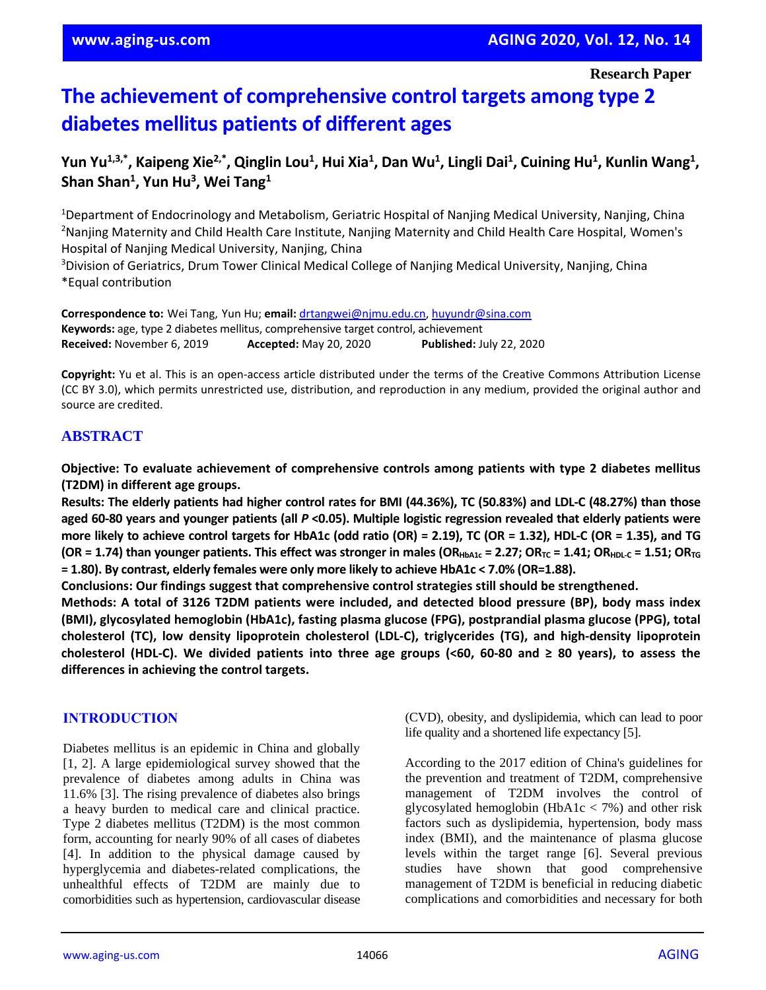# **The achievement of comprehensive control targets among type 2 diabetes mellitus patients of different ages**

# Yun Yu<sup>1,3,\*</sup>, Kaipeng Xie<sup>2,\*</sup>, Qinglin Lou<sup>1</sup>, Hui Xia<sup>1</sup>, Dan Wu<sup>1</sup>, Lingli Dai<sup>1</sup>, Cuining Hu<sup>1</sup>, Kunlin Wang<sup>1</sup>, **Shan Shan<sup>1</sup> , Yun Hu<sup>3</sup> , Wei Tang<sup>1</sup>**

<sup>1</sup>Department of Endocrinology and Metabolism, Geriatric Hospital of Nanjing Medical University, Nanjing, China <sup>2</sup>Nanjing Maternity and Child Health Care Institute, Nanjing Maternity and Child Health Care Hospital, Women's Hospital of Nanjing Medical University, Nanjing, China

<sup>3</sup>Division of Geriatrics, Drum Tower Clinical Medical College of Nanjing Medical University, Nanjing, China \*Equal contribution

**Correspondence to:** Wei Tang, Yun Hu; **email:** [drtangwei@njmu.edu.cn,](mailto:drtangwei@njmu.edu.cn) [huyundr@sina.com](mailto:huyundr@sina.com) **Keywords:** age, type 2 diabetes mellitus, comprehensive target control, achievement **Received:** November 6, 2019 **Accepted:** May 20, 2020 **Published:** July 22, 2020

**Copyright:** Yu et al. This is an open-access article distributed under the terms of the Creative Commons Attribution License (CC BY 3.0), which permits unrestricted use, distribution, and reproduction in any medium, provided the original author and source are credited.

# **ABSTRACT**

**Objective: To evaluate achievement of comprehensive controls among patients with type 2 diabetes mellitus (T2DM) in different age groups.**

Results: The elderly patients had higher control rates for BMI (44.36%), TC (50.83%) and LDL-C (48.27%) than those aged 60-80 years and younger patients (all  $P < 0.05$ ). Multiple logistic regression revealed that elderly patients were more likely to achieve control targets for HbA1c (odd ratio (OR) = 2.19), TC (OR = 1.32), HDL-C (OR = 1.35), and TG (OR = 1.74) than younger patients. This effect was stronger in males (OR<sub>HbA1c</sub> = 2.27; OR<sub>TC</sub> = 1.41; OR<sub>HDLC</sub> = 1.51; OR<sub>TG</sub> **= 1.80). By contrast, elderly females were only more likely to achieve HbA1c < 7.0% (OR=1.88).**

**Conclusions: Our findings suggest that comprehensive control strategies still should be strengthened.**

**Methods: A total of 3126 T2DM patients were included, and detected blood pressure (BP), body mass index (BMI), glycosylated hemoglobin (HbA1c), fasting plasma glucose (FPG), postprandial plasma glucose (PPG), total cholesterol (TC), low density lipoprotein cholesterol (LDL-C), triglycerides (TG), and high-density lipoprotein** cholesterol (HDL-C). We divided patients into three age groups (<60, 60-80 and  $\geq$  80 years), to assess the **differences in achieving the control targets.**

# **INTRODUCTION**

Diabetes mellitus is an epidemic in China and globally [1, 2]. A large epidemiological survey showed that the prevalence of diabetes among adults in China was 11.6% [3]. The rising prevalence of diabetes also brings a heavy burden to medical care and clinical practice. Type 2 diabetes mellitus (T2DM) is the most common form, accounting for nearly 90% of all cases of diabetes [4]. In addition to the physical damage caused by hyperglycemia and diabetes-related complications, the unhealthful effects of T2DM are mainly due to comorbidities such as hypertension, cardiovascular disease

(CVD), obesity, and dyslipidemia, which can lead to poor life quality and a shortened life expectancy [5].

According to the 2017 edition of China's guidelines for the prevention and treatment of T2DM, comprehensive management of T2DM involves the control of glycosylated hemoglobin (HbA1c  $<$  7%) and other risk factors such as dyslipidemia, hypertension, body mass index (BMI), and the maintenance of plasma glucose levels within the target range [6]. Several previous studies have shown that good comprehensive management of T2DM is beneficial in reducing diabetic complications and comorbidities and necessary for both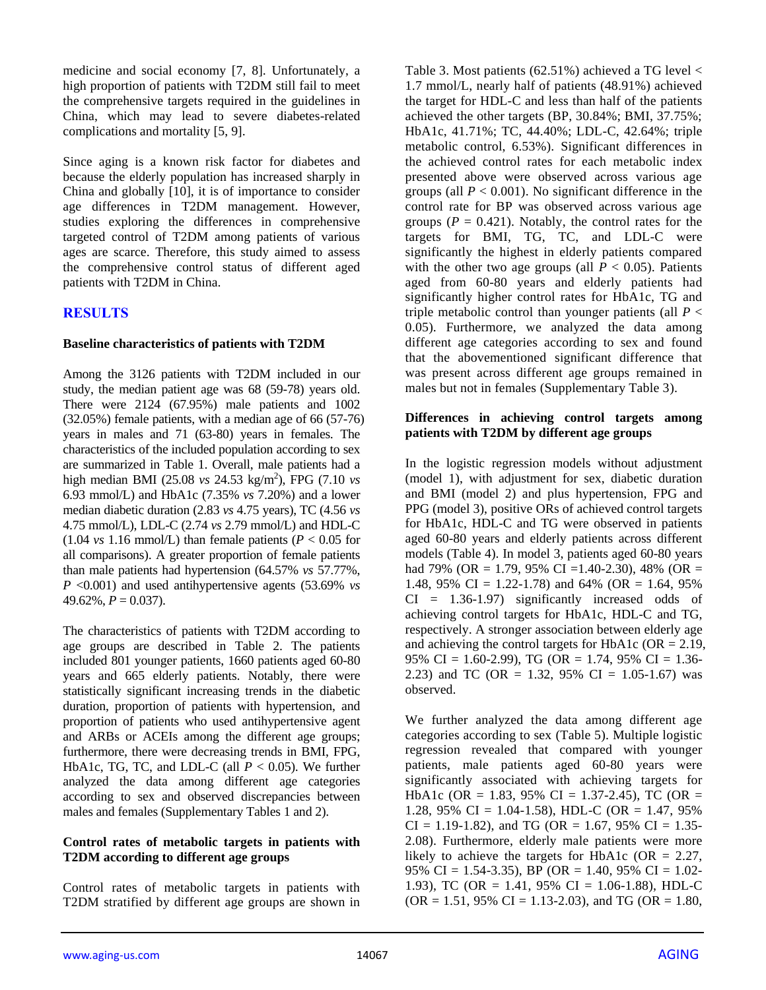medicine and social economy [7, 8]. Unfortunately, a high proportion of patients with T2DM still fail to meet the comprehensive targets required in the guidelines in China, which may lead to severe diabetes-related complications and mortality [5, 9].

Since aging is a known risk factor for diabetes and because the elderly population has increased sharply in China and globally [10], it is of importance to consider age differences in T2DM management. However, studies exploring the differences in comprehensive targeted control of T2DM among patients of various ages are scarce. Therefore, this study aimed to assess the comprehensive control status of different aged patients with T2DM in China.

# **RESULTS**

## **Baseline characteristics of patients with T2DM**

Among the 3126 patients with T2DM included in our study, the median patient age was 68 (59-78) years old. There were 2124 (67.95%) male patients and 1002 (32.05%) female patients, with a median age of 66 (57-76) years in males and 71 (63-80) years in females. The characteristics of the included population according to sex are summarized in Table 1. Overall, male patients had a high median BMI (25.08 *vs* 24.53 kg/m<sup>2</sup> ), FPG (7.10 *vs* 6.93 mmol/L) and HbA1c (7.35% *vs* 7.20%) and a lower median diabetic duration (2.83 *vs* 4.75 years), TC (4.56 *vs* 4.75 mmol/L), LDL-C (2.74 *vs* 2.79 mmol/L) and HDL-C  $(1.04 \text{ vs } 1.16 \text{ mmol/L})$  than female patients  $(P < 0.05 \text{ for }$ all comparisons). A greater proportion of female patients than male patients had hypertension (64.57% *vs* 57.77%, *P* <0.001) and used antihypertensive agents (53.69% *vs*  $49.62\%, P = 0.037$ .

The characteristics of patients with T2DM according to age groups are described in Table 2. The patients included 801 younger patients, 1660 patients aged 60-80 years and 665 elderly patients. Notably, there were statistically significant increasing trends in the diabetic duration, proportion of patients with hypertension, and proportion of patients who used antihypertensive agent and ARBs or ACEIs among the different age groups; furthermore, there were decreasing trends in BMI, FPG, HbA1c, TG, TC, and LDL-C (all  $P < 0.05$ ). We further analyzed the data among different age categories according to sex and observed discrepancies between males and females (Supplementary Tables 1 and 2).

## **Control rates of metabolic targets in patients with T2DM according to different age groups**

Control rates of metabolic targets in patients with T2DM stratified by different age groups are shown in Table 3. Most patients  $(62.51\%)$  achieved a TG level  $\lt$ 1.7 mmol/L, nearly half of patients (48.91%) achieved the target for HDL-C and less than half of the patients achieved the other targets (BP, 30.84%; BMI, 37.75%; HbA1c, 41.71%; TC, 44.40%; LDL-C, 42.64%; triple metabolic control, 6.53%). Significant differences in the achieved control rates for each metabolic index presented above were observed across various age groups (all  $P < 0.001$ ). No significant difference in the control rate for BP was observed across various age groups ( $P = 0.421$ ). Notably, the control rates for the targets for BMI, TG, TC, and LDL-C were significantly the highest in elderly patients compared with the other two age groups (all  $P < 0.05$ ). Patients aged from 60-80 years and elderly patients had significantly higher control rates for HbA1c, TG and triple metabolic control than younger patients (all  $P \leq$ 0.05). Furthermore, we analyzed the data among different age categories according to sex and found that the abovementioned significant difference that was present across different age groups remained in males but not in females (Supplementary Table 3).

#### **Differences in achieving control targets among patients with T2DM by different age groups**

In the logistic regression models without adjustment (model 1), with adjustment for sex, diabetic duration and BMI (model 2) and plus hypertension, FPG and PPG (model 3), positive ORs of achieved control targets for HbA1c, HDL-C and TG were observed in patients aged 60-80 years and elderly patients across different models (Table 4). In model 3, patients aged 60-80 years had 79% (OR = 1.79, 95% CI = 1.40-2.30), 48% (OR = 1.48, 95% CI = 1.22-1.78) and 64% (OR = 1.64, 95%  $CI = 1.36-1.97$  significantly increased odds of achieving control targets for HbA1c, HDL-C and TG, respectively. A stronger association between elderly age and achieving the control targets for HbA1c ( $OR = 2.19$ , 95% CI = 1.60-2.99), TG (OR = 1.74, 95% CI = 1.36- 2.23) and TC (OR = 1.32, 95% CI = 1.05-1.67) was observed.

We further analyzed the data among different age categories according to sex (Table 5). Multiple logistic regression revealed that compared with younger patients, male patients aged 60-80 years were significantly associated with achieving targets for HbA1c (OR = 1.83, 95% CI = 1.37-2.45), TC (OR = 1.28, 95% CI = 1.04-1.58), HDL-C (OR = 1.47, 95%  $CI = 1.19 - 1.82$ , and TG (OR = 1.67, 95% CI = 1.35-2.08). Furthermore, elderly male patients were more likely to achieve the targets for HbA1c (OR =  $2.27$ , 95% CI = 1.54-3.35), BP (OR = 1.40, 95% CI = 1.02-1.93), TC (OR = 1.41, 95% CI = 1.06-1.88), HDL-C  $(OR = 1.51, 95\% \text{ CI} = 1.13 - 2.03)$ , and TG  $(OR = 1.80,$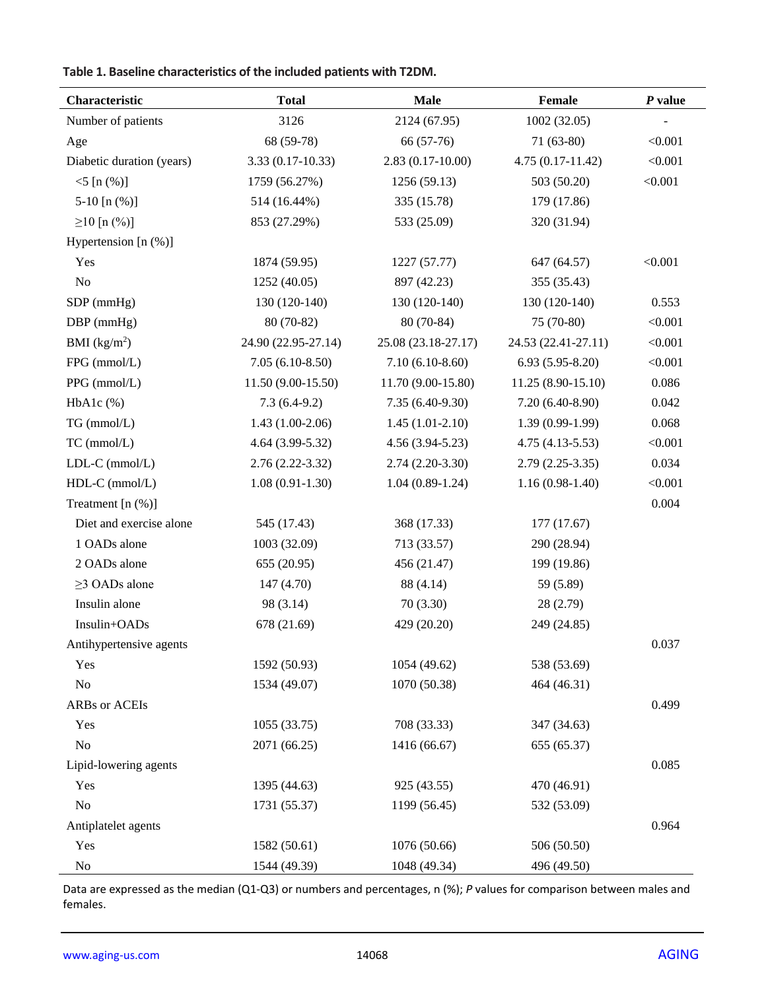# **Table 1. Baseline characteristics of the included patients with T2DM.**

| Characteristic            | <b>Total</b>        | <b>Male</b>         | Female              | $P$ value |
|---------------------------|---------------------|---------------------|---------------------|-----------|
| Number of patients        | 3126                | 2124 (67.95)        | 1002(32.05)         |           |
| Age                       | 68 (59-78)          | 66 (57-76)          | $71(63-80)$         | < 0.001   |
| Diabetic duration (years) | $3.33(0.17-10.33)$  | $2.83(0.17-10.00)$  | $4.75(0.17-11.42)$  | < 0.001   |
| $<$ 5 [n $(\%)$ ]         | 1759 (56.27%)       | 1256 (59.13)        | 503 (50.20)         | < 0.001   |
| 5-10 $[n (\%)]$           | 514 (16.44%)        | 335 (15.78)         | 179 (17.86)         |           |
| $\geq$ 10 [n (%)]         | 853 (27.29%)        | 533 (25.09)         | 320 (31.94)         |           |
| Hypertension [n (%)]      |                     |                     |                     |           |
| Yes                       | 1874 (59.95)        | 1227 (57.77)        | 647 (64.57)         | < 0.001   |
| No                        | 1252 (40.05)        | 897 (42.23)         | 355 (35.43)         |           |
| $SDP$ (mmHg)              | 130 (120-140)       | 130 (120-140)       | 130 (120-140)       | 0.553     |
| $DBP$ (mmHg)              | 80 (70-82)          | $80(70-84)$         | 75 (70-80)          | < 0.001   |
| BMI $(kg/m^2)$            | 24.90 (22.95-27.14) | 25.08 (23.18-27.17) | 24.53 (22.41-27.11) | < 0.001   |
| FPG (mmol/L)              | $7.05(6.10-8.50)$   | $7.10(6.10-8.60)$   | $6.93(5.95-8.20)$   | < 0.001   |
| PPG (mmol/L)              | 11.50 (9.00-15.50)  | 11.70 (9.00-15.80)  | 11.25 (8.90-15.10)  | 0.086     |
| $HbA1c$ (%)               | $7.3(6.4-9.2)$      | $7.35(6.40-9.30)$   | 7.20 (6.40-8.90)    | 0.042     |
| TG (mmol/L)               | $1.43(1.00-2.06)$   | $1.45(1.01-2.10)$   | $1.39(0.99-1.99)$   | 0.068     |
| TC (mmol/L)               | 4.64 (3.99-5.32)    | $4.56(3.94-5.23)$   | $4.75(4.13-5.53)$   | < 0.001   |
| LDL-C (mmol/L)            | $2.76(2.22 - 3.32)$ | $2.74(2.20-3.30)$   | $2.79(2.25-3.35)$   | 0.034     |
| $HDL-C$ (mmol/L)          | $1.08(0.91-1.30)$   | $1.04(0.89-1.24)$   | $1.16(0.98-1.40)$   | < 0.001   |
| Treatment [n (%)]         |                     |                     |                     | 0.004     |
| Diet and exercise alone   | 545 (17.43)         | 368 (17.33)         | 177 (17.67)         |           |
| 1 OADs alone              | 1003 (32.09)        | 713 (33.57)         | 290 (28.94)         |           |
| 2 OADs alone              | 655 (20.95)         | 456 (21.47)         | 199 (19.86)         |           |
| $\geq$ 3 OADs alone       | 147 (4.70)          | 88 (4.14)           | 59 (5.89)           |           |
| Insulin alone             | 98 (3.14)           | 70(3.30)            | 28 (2.79)           |           |
| Insulin+OADs              | 678 (21.69)         | 429 (20.20)         | 249 (24.85)         |           |
| Antihypertensive agents   |                     |                     |                     | 0.037     |
| Yes                       | 1592 (50.93)        | 1054 (49.62)        | 538 (53.69)         |           |
| No                        | 1534 (49.07)        | 1070 (50.38)        | 464 (46.31)         |           |
| <b>ARBs</b> or ACEIs      |                     |                     |                     | 0.499     |
| Yes                       | 1055 (33.75)        | 708 (33.33)         | 347 (34.63)         |           |
| $\rm No$                  | 2071 (66.25)        | 1416 (66.67)        | 655 (65.37)         |           |
| Lipid-lowering agents     |                     |                     |                     | 0.085     |
| Yes                       | 1395 (44.63)        | 925 (43.55)         | 470 (46.91)         |           |
| No                        | 1731 (55.37)        | 1199 (56.45)        | 532 (53.09)         |           |
| Antiplatelet agents       |                     |                     |                     | 0.964     |
| Yes                       | 1582 (50.61)        | 1076 (50.66)        | 506 (50.50)         |           |
| No                        | 1544 (49.39)        | 1048 (49.34)        | 496 (49.50)         |           |

Data are expressed as the median (Q1-Q3) or numbers and percentages, n (%); *P* values for comparison between males and females.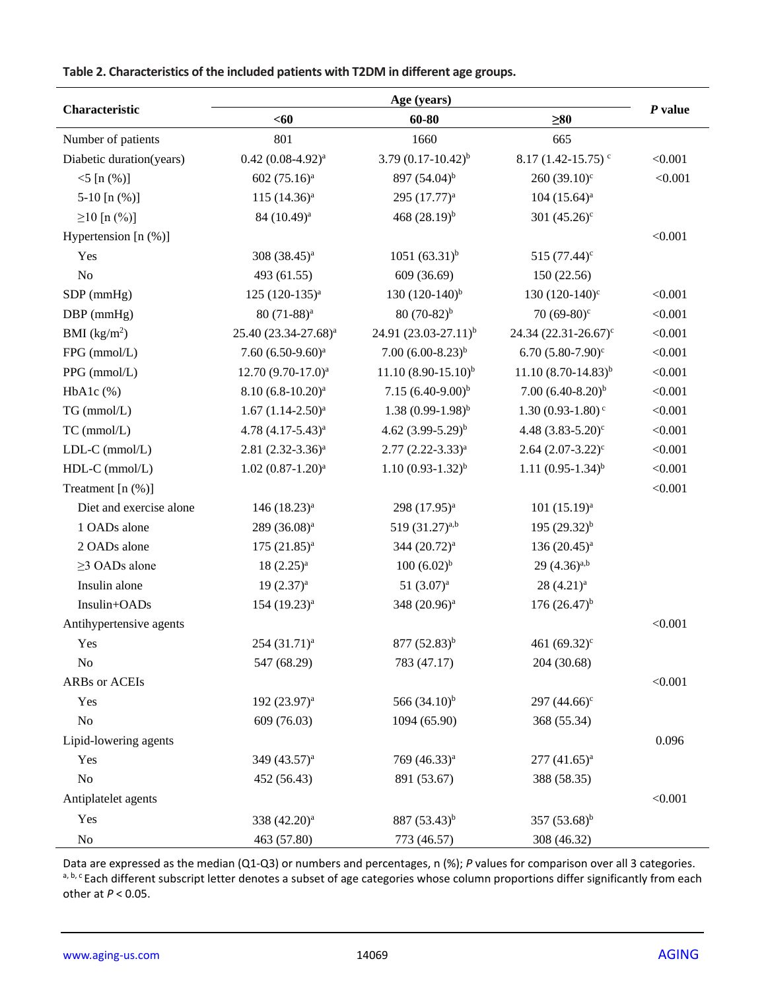# **Table 2. Characteristics of the included patients with T2DM in different age groups.**

|                          | Age (years)                      |                                  |                                   |           |  |
|--------------------------|----------------------------------|----------------------------------|-----------------------------------|-----------|--|
| Characteristic           | $60$                             | 60-80                            | $\geq 80$                         | $P$ value |  |
| Number of patients       | 801                              | 1660                             | 665                               |           |  |
| Diabetic duration(years) | $0.42~(0.08-4.92)^{a}$           | 3.79 $(0.17-10.42)^{b}$          | $8.17(1.42 - 15.75)$ <sup>c</sup> | < 0.001   |  |
| $<$ 5 [n $(\%)$ ]        | 602 $(75.16)^a$                  | 897 (54.04) <sup>b</sup>         | 260 $(39.10)^c$                   | < 0.001   |  |
| 5-10 $[n (%)]$           | $115 (14.36)^a$                  | 295 (17.77) <sup>a</sup>         | $104 (15.64)^a$                   |           |  |
| $\geq$ 10 [n (%)]        | 84 (10.49) <sup>a</sup>          | 468 $(28.19)^{b}$                | 301 $(45.26)^c$                   |           |  |
| Hypertension [n (%)]     |                                  |                                  |                                   | < 0.001   |  |
| Yes                      | 308 $(38.45)^a$                  | $1051 (63.31)^{b}$               | 515 $(77.44)^c$                   |           |  |
| N <sub>o</sub>           | 493 (61.55)                      | 609 (36.69)                      | 150 (22.56)                       |           |  |
| SDP (mmHg)               | 125 (120-135) <sup>a</sup>       | 130 $(120-140)^{b}$              | 130 $(120-140)$ °                 | < 0.001   |  |
| $DBP$ (mmHg)             | $80(71-88)^a$                    | $80(70-82)^{b}$                  | 70 $(69-80)$ °                    | < 0.001   |  |
| BMI $(kg/m^2)$           | 25.40 (23.34-27.68) <sup>a</sup> | 24.91 (23.03-27.11) <sup>b</sup> | 24.34 $(22.31 - 26.67)^c$         | < 0.001   |  |
| FPG (mmol/L)             | $7.60 (6.50-9.60)^a$             | $7.00 (6.00 - 8.23)^{b}$         | 6.70 $(5.80 - 7.90)^c$            | < 0.001   |  |
| PPG (mmol/L)             | $12.70 (9.70 - 17.0)^a$          | $11.10(8.90-15.10)^{b}$          | $11.10(8.70-14.83)^{b}$           | < 0.001   |  |
| $HbA1c$ (%)              | $8.10 (6.8 - 10.20)^a$           | 7.15 $(6.40-9.00)^b$             | $7.00 (6.40 - 8.20)^{b}$          | < 0.001   |  |
| TG (mmol/L)              | $1.67 (1.14 - 2.50)^a$           | $1.38(0.99-1.98)^{b}$            | $1.30(0.93-1.80)$ <sup>c</sup>    | < 0.001   |  |
| TC (mmol/L)              | 4.78 $(4.17-5.43)^a$             | 4.62 $(3.99-5.29)^b$             | 4.48 $(3.83 - 5.20)$ <sup>c</sup> | < 0.001   |  |
| $LDL-C$ (mmol/ $L$ )     | $2.81 (2.32 - 3.36)^a$           | $2.77$ $(2.22 - 3.33)^a$         | $2.64$ $(2.07 - 3.22)^c$          | < 0.001   |  |
| HDL-C (mmol/L)           | $1.02 (0.87 - 1.20)^a$           | $1.10(0.93-1.32)^{b}$            | $1.11 (0.95 - 1.34)^{b}$          | < 0.001   |  |
| Treatment $[n (%)]$      |                                  |                                  |                                   | < 0.001   |  |
| Diet and exercise alone  | 146 (18.23) <sup>a</sup>         | 298 (17.95) <sup>a</sup>         | $101 (15.19)^a$                   |           |  |
| 1 OADs alone             | $289 (36.08)^a$                  | 519 $(31.27)^{a,b}$              | 195 $(29.32)^{b}$                 |           |  |
| 2 OADs alone             | $175 (21.85)^{a}$                | 344 (20.72) <sup>a</sup>         | 136 $(20.45)^a$                   |           |  |
| $\geq$ 3 OADs alone      | $18(2.25)^a$                     | $100 (6.02)^{b}$                 | $29(4.36)^{a,b}$                  |           |  |
| Insulin alone            | $19(2.37)^a$                     | 51 $(3.07)^a$                    | $28(4.21)^a$                      |           |  |
| Insulin+OADs             | 154 (19.23) <sup>a</sup>         | 348 (20.96) <sup>a</sup>         | $176(26.47)^{b}$                  |           |  |
| Antihypertensive agents  |                                  |                                  |                                   | < 0.001   |  |
| Yes                      | $254 (31.71)^a$                  | 877 (52.83) <sup>b</sup>         | 461 $(69.32)^c$                   |           |  |
| No                       | 547 (68.29)                      | 783 (47.17)                      | 204 (30.68)                       |           |  |
| ARBs or ACEIs            |                                  |                                  |                                   | < 0.001   |  |
| Yes                      | 192 (23.97) <sup>a</sup>         | 566 $(34.10)^{b}$                | 297 $(44.66)^c$                   |           |  |
| $\rm No$                 | 609 (76.03)                      | 1094 (65.90)                     | 368 (55.34)                       |           |  |
| Lipid-lowering agents    |                                  |                                  |                                   | 0.096     |  |
| Yes                      | 349 $(43.57)^{a}$                | 769 (46.33) <sup>a</sup>         | $277 (41.65)^{a}$                 |           |  |
| No                       | 452 (56.43)                      | 891 (53.67)                      | 388 (58.35)                       |           |  |
| Antiplatelet agents      |                                  |                                  |                                   | < 0.001   |  |
| Yes                      | 338 (42.20) <sup>a</sup>         | 887 (53.43) <sup>b</sup>         | 357 $(53.68)^{b}$                 |           |  |
| No                       | 463 (57.80)                      | 773 (46.57)                      | 308 (46.32)                       |           |  |

Data are expressed as the median (Q1-Q3) or numbers and percentages, n (%); *P* values for comparison over all 3 categories. a, b, c Each different subscript letter denotes a subset of age categories whose column proportions differ significantly from each other at *P* < 0.05.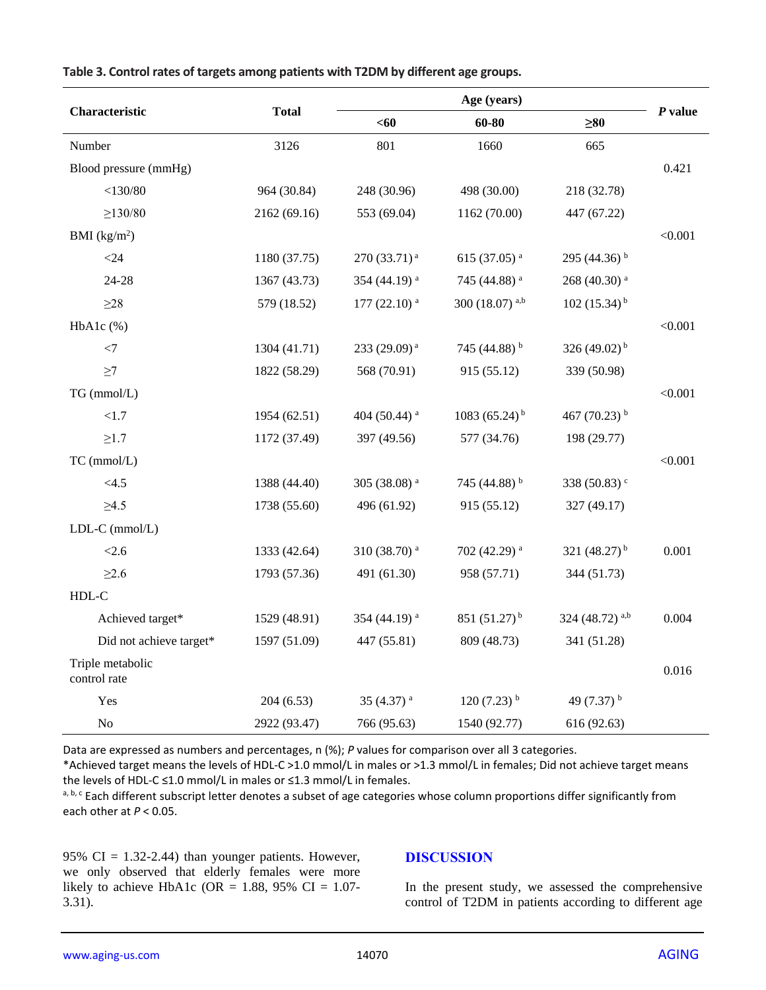| Characteristic                   | <b>Total</b> | Age (years)               |                           |                            | P value |
|----------------------------------|--------------|---------------------------|---------------------------|----------------------------|---------|
|                                  |              | <60                       | 60-80                     | $\geq 80$                  |         |
| Number                           | 3126         | 801                       | 1660                      | 665                        |         |
| Blood pressure (mmHg)            |              |                           |                           |                            | 0.421   |
| $<$ 130/80                       | 964 (30.84)  | 248 (30.96)               | 498 (30.00)               | 218 (32.78)                |         |
| $\geq$ 130/80                    | 2162 (69.16) | 553 (69.04)               | 1162 (70.00)              | 447 (67.22)                |         |
| BMI $(kg/m2)$                    |              |                           |                           |                            | < 0.001 |
| $<$ 24                           | 1180 (37.75) | $270(33.71)^{a}$          | 615 (37.05) $a$           | 295 (44.36) $b$            |         |
| 24-28                            | 1367 (43.73) | 354 (44.19) <sup>a</sup>  | 745 (44.88) <sup>a</sup>  | 268 (40.30) <sup>a</sup>   |         |
| ${\geq}28$                       | 579 (18.52)  | $177(22.10)$ <sup>a</sup> | 300 (18.07) a,b           | 102 $(15.34)^{b}$          |         |
| $HbA1c$ (%)                      |              |                           |                           |                            | < 0.001 |
| $<$ 7                            | 1304 (41.71) | 233 (29.09) <sup>a</sup>  | 745 (44.88) b             | 326 (49.02) <sup>b</sup>   |         |
| $\geq$ 7                         | 1822 (58.29) | 568 (70.91)               | 915 (55.12)               | 339 (50.98)                |         |
| TG (mmol/L)                      |              |                           |                           |                            | < 0.001 |
| <1.7                             | 1954 (62.51) | 404 (50.44) $a$           | 1083 (65.24) <sup>b</sup> | 467 $(70.23)$ <sup>b</sup> |         |
| $\geq1.7$                        | 1172 (37.49) | 397 (49.56)               | 577 (34.76)               | 198 (29.77)                |         |
| TC (mmol/L)                      |              |                           |                           |                            | < 0.001 |
| <4.5                             | 1388 (44.40) | 305 (38.08) <sup>a</sup>  | 745 (44.88) b             | 338 (50.83) <sup>c</sup>   |         |
| $\geq4.5$                        | 1738 (55.60) | 496 (61.92)               | 915 (55.12)               | 327 (49.17)                |         |
| LDL-C (mmol/L)                   |              |                           |                           |                            |         |
| < 2.6                            | 1333 (42.64) | 310 (38.70) <sup>a</sup>  | 702 (42.29) <sup>a</sup>  | 321 $(48.27)^{b}$          | 0.001   |
| $\geq 2.6$                       | 1793 (57.36) | 491 (61.30)               | 958 (57.71)               | 344 (51.73)                |         |
| HDL-C                            |              |                           |                           |                            |         |
| Achieved target*                 | 1529 (48.91) | 354 (44.19) <sup>a</sup>  | 851 $(51.27)^{b}$         | 324 (48.72) a,b            | 0.004   |
| Did not achieve target*          | 1597 (51.09) | 447 (55.81)               | 809 (48.73)               | 341 (51.28)                |         |
| Triple metabolic<br>control rate |              |                           |                           |                            | 0.016   |
| Yes                              | 204 (6.53)   | 35 $(4.37)$ <sup>a</sup>  | $120(7.23)$ <sup>b</sup>  | 49 $(7.37)$ <sup>b</sup>   |         |
| N <sub>o</sub>                   | 2922 (93.47) | 766 (95.63)               | 1540 (92.77)              | 616 (92.63)                |         |

**Table 3. Control rates of targets among patients with T2DM by different age groups.**

Data are expressed as numbers and percentages, n (%); *P* values for comparison over all 3 categories.

\*Achieved target means the levels of HDL-C >1.0 mmol/L in males or >1.3 mmol/L in females; Did not achieve target means the levels of HDL-C ≤1.0 mmol/L in males or ≤1.3 mmol/L in females.

a, b, c Each different subscript letter denotes a subset of age categories whose column proportions differ significantly from each other at *P* < 0.05.

95%  $CI = 1.32 - 2.44$ ) than younger patients. However, we only observed that elderly females were more likely to achieve HbA1c (OR = 1.88, 95% CI = 1.07-3.31).

#### **DISCUSSION**

In the present study, we assessed the comprehensive control of T2DM in patients according to different age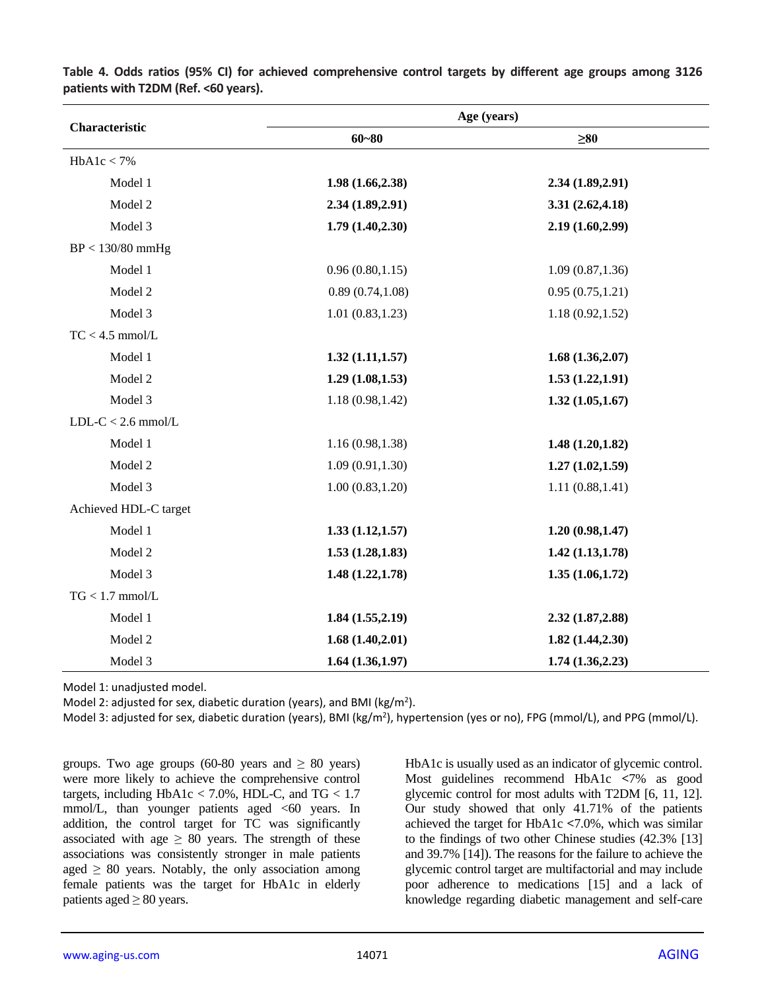|                       | Age (years)      |                  |  |  |
|-----------------------|------------------|------------------|--|--|
| Characteristic        | $60 - 80$        | $\geq 80$        |  |  |
| HbA1c < 7%            |                  |                  |  |  |
| Model 1               | 1.98(1.66, 2.38) | 2.34(1.89, 2.91) |  |  |
| Model 2               | 2.34(1.89, 2.91) | 3.31(2.62, 4.18) |  |  |
| Model 3               | 1.79(1.40, 2.30) | 2.19 (1.60,2.99) |  |  |
| $BP < 130/80$ mmHg    |                  |                  |  |  |
| Model 1               | 0.96(0.80, 1.15) | 1.09(0.87, 1.36) |  |  |
| Model 2               | 0.89(0.74, 1.08) | 0.95(0.75, 1.21) |  |  |
| Model 3               | 1.01(0.83, 1.23) | 1.18(0.92, 1.52) |  |  |
| $TC < 4.5$ mmol/L     |                  |                  |  |  |
| Model 1               | 1.32(1.11, 1.57) | 1.68(1.36, 2.07) |  |  |
| Model 2               | 1.29(1.08, 1.53) | 1.53(1.22, 1.91) |  |  |
| Model 3               | 1.18(0.98, 1.42) | 1.32(1.05, 1.67) |  |  |
| $LDL-C < 2.6$ mmol/L  |                  |                  |  |  |
| Model 1               | 1.16(0.98, 1.38) | 1.48(1.20, 1.82) |  |  |
| Model 2               | 1.09(0.91, 1.30) | 1.27(1.02, 1.59) |  |  |
| Model 3               | 1.00(0.83, 1.20) | 1.11(0.88, 1.41) |  |  |
| Achieved HDL-C target |                  |                  |  |  |
| Model 1               | 1.33(1.12, 1.57) | 1.20(0.98, 1.47) |  |  |
| Model 2               | 1.53(1.28, 1.83) | 1.42(1.13, 1.78) |  |  |
| Model 3               | 1.48(1.22, 1.78) | 1.35(1.06, 1.72) |  |  |
| $TG < 1.7$ mmol/L     |                  |                  |  |  |
| Model 1               | 1.84(1.55, 2.19) | 2.32 (1.87,2.88) |  |  |
| Model 2               | 1.68(1.40, 2.01) | 1.82(1.44, 2.30) |  |  |
| Model 3               | 1.64(1.36, 1.97) | 1.74(1.36, 2.23) |  |  |

**Table 4. Odds ratios (95% CI) for achieved comprehensive control targets by different age groups among 3126 patients with T2DM (Ref. <60 years).**

Model 1: unadjusted model.

Model 2: adjusted for sex, diabetic duration (years), and BMI (kg/m<sup>2</sup>).

Model 3: adjusted for sex, diabetic duration (years), BMI (kg/m<sup>2</sup>), hypertension (yes or no), FPG (mmol/L), and PPG (mmol/L).

groups. Two age groups (60-80 years and  $\geq 80$  years) were more likely to achieve the comprehensive control targets, including HbA1c <  $7.0\%$ , HDL-C, and TG <  $1.7$ mmol/L, than younger patients aged  $\leq 60$  years. In addition, the control target for TC was significantly associated with age  $\geq 80$  years. The strength of these associations was consistently stronger in male patients aged  $\geq 80$  years. Notably, the only association among female patients was the target for HbA1c in elderly patients aged  $\geq 80$  years.

HbA1c is usually used as an indicator of glycemic control. Most guidelines recommend HbA1c **<**7% as good glycemic control for most adults with T2DM [6, 11, 12]. Our study showed that only 41.71% of the patients achieved the target for HbA1c **<**7.0%, which was similar to the findings of two other Chinese studies (42.3% [13] and 39.7% [14]). The reasons for the failure to achieve the glycemic control target are multifactorial and may include poor adherence to medications [15] and a lack of knowledge regarding diabetic management and self-care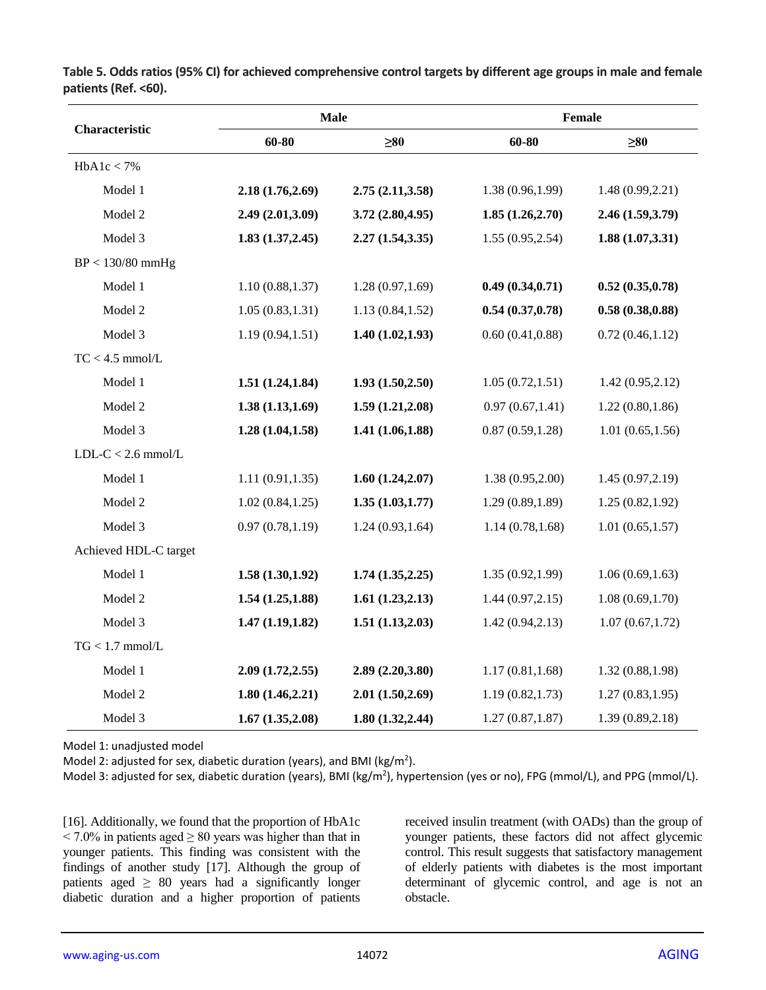|                       |                  | <b>Male</b>      |                  | Female           |  |
|-----------------------|------------------|------------------|------------------|------------------|--|
| Characteristic        | 60-80            | $\geq 80$        | $60 - 80$        | $\geq 80$        |  |
| HbA1c < 7%            |                  |                  |                  |                  |  |
| Model 1               | 2.18(1.76, 2.69) | 2.75(2.11, 3.58) | 1.38 (0.96,1.99) | 1.48(0.99, 2.21) |  |
| Model 2               | 2.49 (2.01,3.09) | 3.72(2.80, 4.95) | 1.85(1.26, 2.70) | 2.46 (1.59,3.79) |  |
| Model 3               | 1.83(1.37, 2.45) | 2.27(1.54, 3.35) | 1.55(0.95, 2.54) | 1.88(1.07, 3.31) |  |
| $BP < 130/80$ mmHg    |                  |                  |                  |                  |  |
| Model 1               | 1.10(0.88, 1.37) | 1.28(0.97, 1.69) | 0.49(0.34, 0.71) | 0.52(0.35, 0.78) |  |
| Model 2               | 1.05(0.83, 1.31) | 1.13(0.84, 1.52) | 0.54(0.37, 0.78) | 0.58(0.38, 0.88) |  |
| Model 3               | 1.19(0.94, 1.51) | 1.40(1.02, 1.93) | 0.60(0.41, 0.88) | 0.72(0.46, 1.12) |  |
| $TC < 4.5$ mmol/L     |                  |                  |                  |                  |  |
| Model 1               | 1.51(1.24, 1.84) | 1.93(1.50, 2.50) | 1.05(0.72, 1.51) | 1.42(0.95, 2.12) |  |
| Model 2               | 1.38(1.13, 1.69) | 1.59(1.21, 2.08) | 0.97(0.67, 1.41) | 1.22(0.80, 1.86) |  |
| Model 3               | 1.28(1.04, 1.58) | 1.41(1.06, 1.88) | 0.87(0.59, 1.28) | 1.01(0.65, 1.56) |  |
| $LDL-C < 2.6$ mmol/L  |                  |                  |                  |                  |  |
| Model 1               | 1.11(0.91, 1.35) | 1.60(1.24, 2.07) | 1.38(0.95, 2.00) | 1.45(0.97, 2.19) |  |
| Model 2               | 1.02(0.84, 1.25) | 1.35(1.03, 1.77) | 1.29(0.89, 1.89) | 1.25(0.82, 1.92) |  |
| Model 3               | 0.97(0.78, 1.19) | 1.24(0.93, 1.64) | 1.14(0.78, 1.68) | 1.01(0.65, 1.57) |  |
| Achieved HDL-C target |                  |                  |                  |                  |  |
| Model 1               | 1.58(1.30, 1.92) | 1.74(1.35, 2.25) | 1.35(0.92, 1.99) | 1.06(0.69, 1.63) |  |
| Model 2               | 1.54(1.25, 1.88) | 1.61(1.23, 2.13) | 1.44(0.97, 2.15) | 1.08(0.69, 1.70) |  |
| Model 3               | 1.47(1.19, 1.82) | 1.51(1.13,2.03)  | 1.42(0.94, 2.13) | 1.07(0.67, 1.72) |  |
| $TG < 1.7$ mmol/L     |                  |                  |                  |                  |  |
| Model 1               | 2.09(1.72, 2.55) | 2.89(2.20, 3.80) | 1.17(0.81, 1.68) | 1.32(0.88, 1.98) |  |
| Model 2               | 1.80(1.46, 2.21) | 2.01(1.50, 2.69) | 1.19(0.82, 1.73) | 1.27(0.83, 1.95) |  |
| Model 3               | 1.67(1.35,2.08)  | 1.80(1.32, 2.44) | 1.27(0.87, 1.87) | 1.39(0.89, 2.18) |  |

**Table 5. Odds ratios (95% CI) for achieved comprehensive control targets by different age groups in male and female patients (Ref. <60).**

Model 1: unadjusted model

Model 2: adjusted for sex, diabetic duration (years), and BMI (kg/m<sup>2</sup>).

Model 3: adjusted for sex, diabetic duration (years), BMI (kg/m<sup>2</sup>), hypertension (yes or no), FPG (mmol/L), and PPG (mmol/L).

[16]. Additionally, we found that the proportion of HbA1c  $\leq$  7.0% in patients aged  $\geq$  80 years was higher than that in younger patients. This finding was consistent with the findings of another study [17]. Although the group of patients aged  $\geq 80$  years had a significantly longer diabetic duration and a higher proportion of patients

received insulin treatment (with OADs) than the group of younger patients, these factors did not affect glycemic control. This result suggests that satisfactory management of elderly patients with diabetes is the most important determinant of glycemic control, and age is not an obstacle.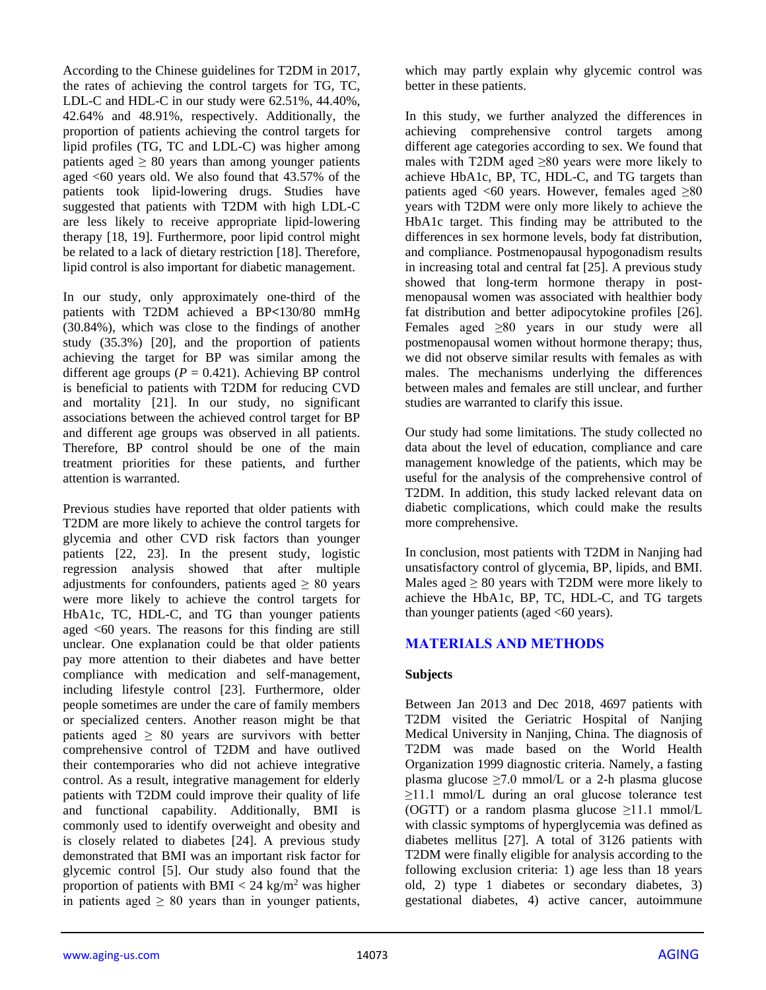According to the Chinese guidelines for T2DM in 2017, the rates of achieving the control targets for TG, TC, LDL-C and HDL-C in our study were 62.51%, 44.40%, 42.64% and 48.91%, respectively. Additionally, the proportion of patients achieving the control targets for lipid profiles (TG, TC and LDL-C) was higher among patients aged  $\geq 80$  years than among younger patients aged  $\leq 60$  years old. We also found that 43.57% of the patients took lipid-lowering drugs. Studies have suggested that patients with T2DM with high LDL-C are less likely to receive appropriate lipid-lowering therapy [18, 19]. Furthermore, poor lipid control might be related to a lack of dietary restriction [18]. Therefore, lipid control is also important for diabetic management.

In our study, only approximately one-third of the patients with T2DM achieved a BP**<**130/80 mmHg (30.84%), which was close to the findings of another study (35.3%) [20], and the proportion of patients achieving the target for BP was similar among the different age groups  $(P = 0.421)$ . Achieving BP control is beneficial to patients with T2DM for reducing CVD and mortality [21]. In our study, no significant associations between the achieved control target for BP and different age groups was observed in all patients. Therefore, BP control should be one of the main treatment priorities for these patients, and further attention is warranted.

Previous studies have reported that older patients with T2DM are more likely to achieve the control targets for glycemia and other CVD risk factors than younger patients [22, 23]. In the present study, logistic regression analysis showed that after multiple adjustments for confounders, patients aged  $\geq 80$  years were more likely to achieve the control targets for HbA1c, TC, HDL-C, and TG than younger patients aged <60 years. The reasons for this finding are still unclear. One explanation could be that older patients pay more attention to their diabetes and have better compliance with medication and self-management, including lifestyle control [23]. Furthermore, older people sometimes are under the care of family members or specialized centers. Another reason might be that patients aged  $\geq 80$  years are survivors with better comprehensive control of T2DM and have outlived their contemporaries who did not achieve integrative control. As a result, integrative management for elderly patients with T2DM could improve their quality of life and functional capability. Additionally, BMI is commonly used to identify overweight and obesity and is closely related to diabetes [24]. A previous study demonstrated that BMI was an important risk factor for glycemic control [5]. Our study also found that the proportion of patients with BMI  $< 24 \text{ kg/m}^2$  was higher in patients aged  $\geq 80$  years than in younger patients,

which may partly explain why glycemic control was better in these patients.

In this study, we further analyzed the differences in achieving comprehensive control targets among different age categories according to sex. We found that males with T2DM aged  $\geq 80$  years were more likely to achieve HbA1c, BP, TC, HDL-C, and TG targets than patients aged <60 years. However, females aged  $\geq 80$ years with T2DM were only more likely to achieve the HbA1c target. This finding may be attributed to the differences in sex hormone levels, body fat distribution, and compliance. Postmenopausal hypogonadism results in increasing total and central fat [25]. A previous study showed that long-term hormone therapy in postmenopausal women was associated with healthier body fat distribution and better adipocytokine profiles [26]. Females aged ≥80 years in our study were all postmenopausal women without hormone therapy; thus, we did not observe similar results with females as with males. The mechanisms underlying the differences between males and females are still unclear, and further studies are warranted to clarify this issue.

Our study had some limitations. The study collected no data about the level of education, compliance and care management knowledge of the patients, which may be useful for the analysis of the comprehensive control of T2DM. In addition, this study lacked relevant data on diabetic complications, which could make the results more comprehensive.

In conclusion, most patients with T2DM in Nanjing had unsatisfactory control of glycemia, BP, lipids, and BMI. Males aged  $\geq 80$  years with T2DM were more likely to achieve the HbA1c, BP, TC, HDL-C, and TG targets than younger patients (aged <60 years).

# **MATERIALS AND METHODS**

# **Subjects**

Between Jan 2013 and Dec 2018, 4697 patients with T2DM visited the Geriatric Hospital of Nanjing Medical University in Nanjing, China. The diagnosis of T2DM was made based on the World Health Organization 1999 diagnostic criteria. Namely, a fasting plasma glucose  $\geq 7.0$  mmol/L or a 2-h plasma glucose  $\geq$ 11.1 mmol/L during an oral glucose tolerance test (OGTT) or a random plasma glucose  $\geq$ 11.1 mmol/L with classic symptoms of hyperglycemia was defined as diabetes mellitus [27]. A total of 3126 patients with T2DM were finally eligible for analysis according to the following exclusion criteria: 1) age less than 18 years old, 2) type 1 diabetes or secondary diabetes, 3) gestational diabetes, 4) active cancer, autoimmune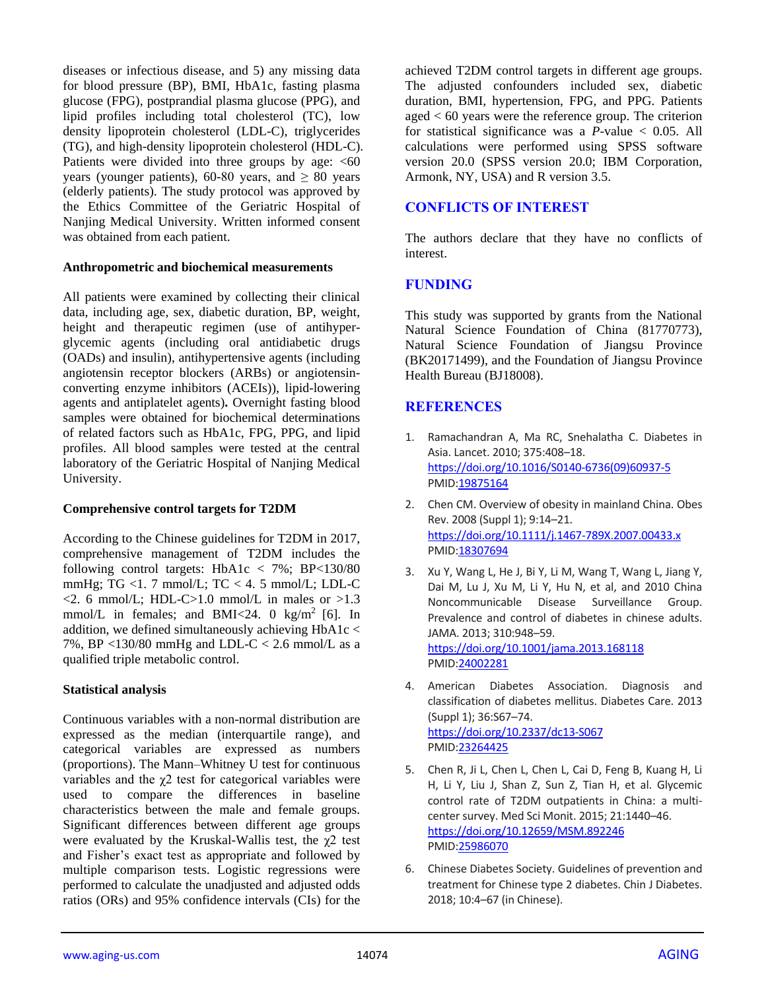diseases or infectious disease, and 5) any missing data for blood pressure (BP), BMI, HbA1c, fasting plasma glucose (FPG), postprandial plasma glucose (PPG), and lipid profiles including total cholesterol (TC), low density lipoprotein cholesterol (LDL-C), triglycerides (TG), and high-density lipoprotein cholesterol (HDL-C). Patients were divided into three groups by age:  $<60$ years (younger patients), 60-80 years, and  $\geq 80$  years (elderly patients). The study protocol was approved by the Ethics Committee of the Geriatric Hospital of Nanjing Medical University. Written informed consent was obtained from each patient.

#### **Anthropometric and biochemical measurements**

All patients were examined by collecting their clinical data, including age, sex, diabetic duration, BP, weight, height and therapeutic regimen (use of antihyperglycemic agents (including oral antidiabetic drugs (OADs) and insulin), antihypertensive agents (including angiotensin receptor blockers (ARBs) or angiotensinconverting enzyme inhibitors (ACEIs)), lipid-lowering agents and antiplatelet agents)**.** Overnight fasting blood samples were obtained for biochemical determinations of related factors such as HbA1c, FPG, PPG, and lipid profiles. All blood samples were tested at the central laboratory of the Geriatric Hospital of Nanjing Medical University.

## **Comprehensive control targets for T2DM**

According to the Chinese guidelines for T2DM in 2017, comprehensive management of T2DM includes the following control targets:  $HbA1c < 7\%$ ;  $BP<130/80$ mmHg; TG <1. 7 mmol/L; TC < 4. 5 mmol/L; LDL-C  $\langle 2.6 \text{ mmol/L}; \text{ HDL-C} \rangle 1.0 \text{ mmol/L}$  in males or  $>1.3$ mmol/L in females; and BMI<24. 0 kg/m<sup>2</sup> [6]. In addition, we defined simultaneously achieving  $HbA1c <$ 7%, BP <130/80 mmHg and LDL-C < 2.6 mmol/L as a qualified triple metabolic control.

## **Statistical analysis**

Continuous variables with a non-normal distribution are expressed as the median (interquartile range), and categorical variables are expressed as numbers (proportions). The Mann–Whitney U test for continuous variables and the χ2 test for categorical variables were used to compare the differences in baseline characteristics between the male and female groups. Significant differences between different age groups were evaluated by the Kruskal-Wallis test, the  $\chi^2$  test and Fisher's exact test as appropriate and followed by multiple comparison tests. Logistic regressions were performed to calculate the unadjusted and adjusted odds ratios (ORs) and 95% confidence intervals (CIs) for the

achieved T2DM control targets in different age groups. The adjusted confounders included sex, diabetic duration, BMI, hypertension, FPG, and PPG. Patients aged < 60 years were the reference group. The criterion for statistical significance was a *P*-value < 0.05. All calculations were performed using SPSS software version 20.0 (SPSS version 20.0; IBM Corporation, Armonk, NY, USA) and R version 3.5.

# **CONFLICTS OF INTEREST**

The authors declare that they have no conflicts of interest.

## **FUNDING**

This study was supported by grants from the National Natural Science Foundation of China (81770773), Natural Science Foundation of Jiangsu Province (BK20171499), and the Foundation of Jiangsu Province Health Bureau (BJ18008).

# **REFERENCES**

- 1. Ramachandran A, Ma RC, Snehalatha C. Diabetes in Asia. Lancet. 2010; 375:408–18. [https://doi.org/10.1016/S0140-6736\(09\)60937-5](https://doi.org/10.1016/S0140-6736(09)60937-5) PMI[D:19875164](https://pubmed.ncbi.nlm.nih.gov/19875164)
- 2. Chen CM. Overview of obesity in mainland China. Obes Rev. 2008 (Suppl 1); 9:14–21. <https://doi.org/10.1111/j.1467-789X.2007.00433.x> PMI[D:18307694](https://pubmed.ncbi.nlm.nih.gov/18307694)
- 3. Xu Y, Wang L, He J, Bi Y, Li M, Wang T, Wang L, Jiang Y, Dai M, Lu J, Xu M, Li Y, Hu N, et al, and 2010 China Noncommunicable Disease Surveillance Group. Prevalence and control of diabetes in chinese adults. JAMA. 2013; 310:948–59. <https://doi.org/10.1001/jama.2013.168118> PMI[D:24002281](https://pubmed.ncbi.nlm.nih.gov/24002281)
- 4. American Diabetes Association. Diagnosis and classification of diabetes mellitus. Diabetes Care. 2013 (Suppl 1); 36:S67–74. <https://doi.org/10.2337/dc13-S067> PMI[D:23264425](https://pubmed.ncbi.nlm.nih.gov/23264425)
- 5. Chen R, Ji L, Chen L, Chen L, Cai D, Feng B, Kuang H, Li H, Li Y, Liu J, Shan Z, Sun Z, Tian H, et al. Glycemic control rate of T2DM outpatients in China: a multicenter survey. Med Sci Monit. 2015; 21:1440–46. <https://doi.org/10.12659/MSM.892246> PMI[D:25986070](https://pubmed.ncbi.nlm.nih.gov/25986070)
- 6. Chinese Diabetes Society. Guidelines of prevention and treatment for Chinese type 2 diabetes. Chin J Diabetes. 2018; 10:4–67 (in Chinese).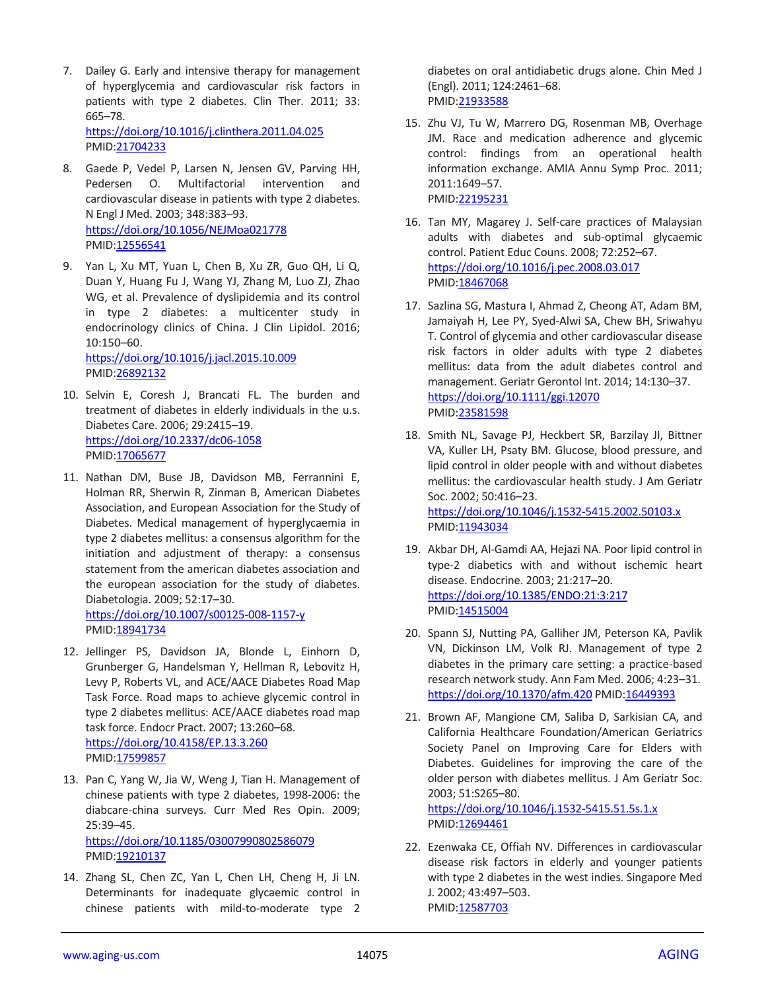7. Dailey G. Early and intensive therapy for management of hyperglycemia and cardiovascular risk factors in patients with type 2 diabetes. Clin Ther. 2011; 33: 665–78. <https://doi.org/10.1016/j.clinthera.2011.04.025>

PMID[:21704233](https://pubmed.ncbi.nlm.nih.gov/21704233)

- 8. Gaede P, Vedel P, Larsen N, Jensen GV, Parving HH, Pedersen O. Multifactorial intervention and cardiovascular disease in patients with type 2 diabetes. N Engl J Med. 2003; 348:383–93. <https://doi.org/10.1056/NEJMoa021778> PMID[:12556541](https://pubmed.ncbi.nlm.nih.gov/12556541)
- 9. Yan L, Xu MT, Yuan L, Chen B, Xu ZR, Guo QH, Li Q, Duan Y, Huang Fu J, Wang YJ, Zhang M, Luo ZJ, Zhao WG, et al. Prevalence of dyslipidemia and its control in type 2 diabetes: a multicenter study in endocrinology clinics of China. J Clin Lipidol. 2016; 10:150–60.

<https://doi.org/10.1016/j.jacl.2015.10.009> PMID[:26892132](https://pubmed.ncbi.nlm.nih.gov/26892132)

- 10. Selvin E, Coresh J, Brancati FL. The burden and treatment of diabetes in elderly individuals in the u.s. Diabetes Care. 2006; 29:2415–19. <https://doi.org/10.2337/dc06-1058> PMID[:17065677](https://pubmed.ncbi.nlm.nih.gov/17065677)
- 11. Nathan DM, Buse JB, Davidson MB, Ferrannini E, Holman RR, Sherwin R, Zinman B, American Diabetes Association, and European Association for the Study of Diabetes. Medical management of hyperglycaemia in type 2 diabetes mellitus: a consensus algorithm for the initiation and adjustment of therapy: a consensus statement from the american diabetes association and the european association for the study of diabetes. Diabetologia. 2009; 52:17–30. <https://doi.org/10.1007/s00125-008-1157-y> PMID[:18941734](https://pubmed.ncbi.nlm.nih.gov/18941734)
- 12. Jellinger PS, Davidson JA, Blonde L, Einhorn D, Grunberger G, Handelsman Y, Hellman R, Lebovitz H, Levy P, Roberts VL, and ACE/AACE Diabetes Road Map Task Force. Road maps to achieve glycemic control in type 2 diabetes mellitus: ACE/AACE diabetes road map task force. Endocr Pract. 2007; 13:260–68. <https://doi.org/10.4158/EP.13.3.260> PMID[:17599857](https://pubmed.ncbi.nlm.nih.gov/17599857)
- 13. Pan C, Yang W, Jia W, Weng J, Tian H. Management of chinese patients with type 2 diabetes, 1998-2006: the diabcare-china surveys. Curr Med Res Opin. 2009; 25:39–45. <https://doi.org/10.1185/03007990802586079> PMID[:19210137](https://pubmed.ncbi.nlm.nih.gov/19210137)
- 14. Zhang SL, Chen ZC, Yan L, Chen LH, Cheng H, Ji LN. Determinants for inadequate glycaemic control in chinese patients with mild-to-moderate type 2

diabetes on oral antidiabetic drugs alone. Chin Med J (Engl). 2011; 124:2461–68. PMI[D:21933588](https://pubmed.ncbi.nlm.nih.gov/21933588)

- 15. Zhu VJ, Tu W, Marrero DG, Rosenman MB, Overhage JM. Race and medication adherence and glycemic control: findings from an operational health information exchange. AMIA Annu Symp Proc. 2011; 2011:1649–57. PMI[D:22195231](https://pubmed.ncbi.nlm.nih.gov/22195231)
- 16. Tan MY, Magarey J. Self-care practices of Malaysian adults with diabetes and sub-optimal glycaemic control. Patient Educ Couns. 2008; 72:252–67. <https://doi.org/10.1016/j.pec.2008.03.017> PMID: 18467068
- 17. Sazlina SG, Mastura I, Ahmad Z, Cheong AT, Adam BM, Jamaiyah H, Lee PY, Syed-Alwi SA, Chew BH, Sriwahyu T. Control of glycemia and other cardiovascular disease risk factors in older adults with type 2 diabetes mellitus: data from the adult diabetes control and management. Geriatr Gerontol Int. 2014; 14:130–37. <https://doi.org/10.1111/ggi.12070> PMI[D:23581598](https://pubmed.ncbi.nlm.nih.gov/23581598)
- 18. Smith NL, Savage PJ, Heckbert SR, Barzilay JI, Bittner VA, Kuller LH, Psaty BM. Glucose, blood pressure, and lipid control in older people with and without diabetes mellitus: the cardiovascular health study. J Am Geriatr Soc. 2002; 50:416–23. <https://doi.org/10.1046/j.1532-5415.2002.50103.x> PMI[D:11943034](https://pubmed.ncbi.nlm.nih.gov/11943034)
- 19. Akbar DH, Al-Gamdi AA, Hejazi NA. Poor lipid control in type-2 diabetics with and without ischemic heart disease. Endocrine. 2003; 21:217–20. <https://doi.org/10.1385/ENDO:21:3:217> PMI[D:14515004](https://pubmed.ncbi.nlm.nih.gov/14515004)
- 20. Spann SJ, Nutting PA, Galliher JM, Peterson KA, Pavlik VN, Dickinson LM, Volk RJ. Management of type 2 diabetes in the primary care setting: a practice-based research network study. Ann Fam Med. 2006; 4:23–31. <https://doi.org/10.1370/afm.420> PMID[:16449393](https://pubmed.ncbi.nlm.nih.gov/16449393)
- 21. Brown AF, Mangione CM, Saliba D, Sarkisian CA, and California Healthcare Foundation/American Geriatrics Society Panel on Improving Care for Elders with Diabetes. Guidelines for improving the care of the older person with diabetes mellitus. J Am Geriatr Soc. 2003; 51:S265–80. <https://doi.org/10.1046/j.1532-5415.51.5s.1.x>

PMI[D:12694461](https://pubmed.ncbi.nlm.nih.gov/12694461)

22. Ezenwaka CE, Offiah NV. Differences in cardiovascular disease risk factors in elderly and younger patients with type 2 diabetes in the west indies. Singapore Med J. 2002; 43:497–503. PMI[D:12587703](https://pubmed.ncbi.nlm.nih.gov/12587703)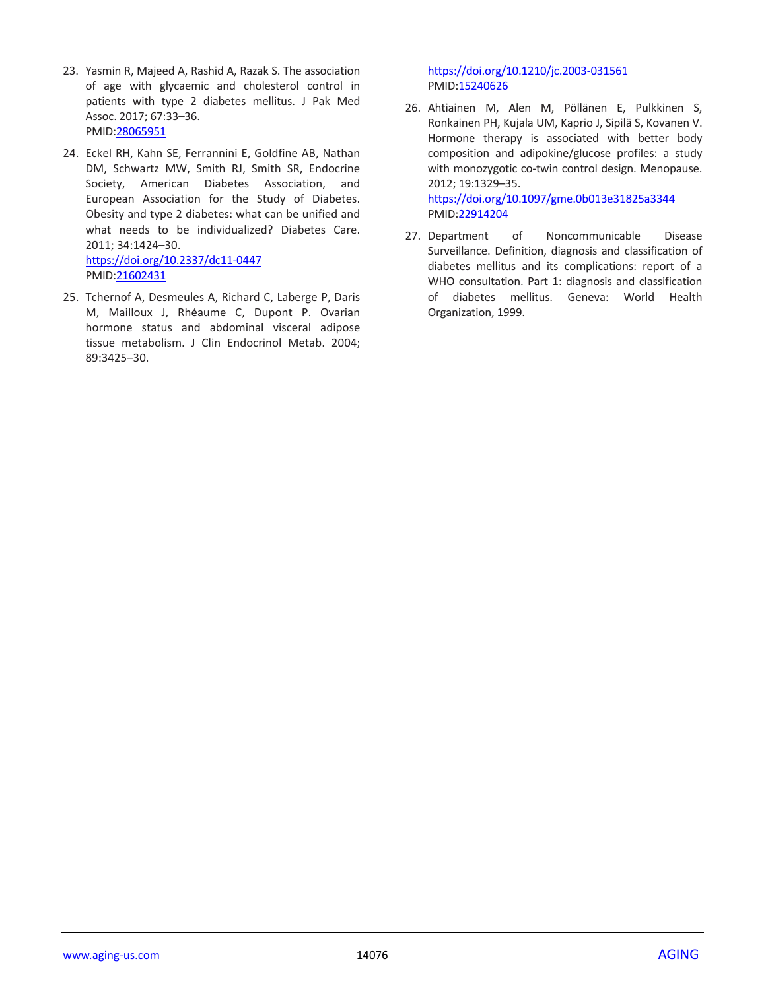- 23. Yasmin R, Majeed A, Rashid A, Razak S. The association of age with glycaemic and cholesterol control in patients with type 2 diabetes mellitus. J Pak Med Assoc. 2017; 67:33–36. PMID[:28065951](https://pubmed.ncbi.nlm.nih.gov/28065951)
- 24. Eckel RH, Kahn SE, Ferrannini E, Goldfine AB, Nathan DM, Schwartz MW, Smith RJ, Smith SR, Endocrine Society, American Diabetes Association, and European Association for the Study of Diabetes. Obesity and type 2 diabetes: what can be unified and what needs to be individualized? Diabetes Care. 2011; 34:1424–30. <https://doi.org/10.2337/dc11-0447> PMID[:21602431](https://pubmed.ncbi.nlm.nih.gov/21602431)
- 25. Tchernof A, Desmeules A, Richard C, Laberge P, Daris M, Mailloux J, Rhéaume C, Dupont P. Ovarian hormone status and abdominal visceral adipose tissue metabolism. J Clin Endocrinol Metab. 2004; 89:3425–30.

<https://doi.org/10.1210/jc.2003-031561> PMI[D:15240626](https://pubmed.ncbi.nlm.nih.gov/15240626)

26. Ahtiainen M, Alen M, Pöllänen E, Pulkkinen S, Ronkainen PH, Kujala UM, Kaprio J, Sipilä S, Kovanen V. Hormone therapy is associated with better body composition and adipokine/glucose profiles: a study with monozygotic co-twin control design. Menopause. 2012; 19:1329–35. <https://doi.org/10.1097/gme.0b013e31825a3344>

PMI[D:22914204](https://pubmed.ncbi.nlm.nih.gov/22914204)

27. Department of Noncommunicable Disease Surveillance. Definition, diagnosis and classification of diabetes mellitus and its complications: report of a WHO consultation. Part 1: diagnosis and classification of diabetes mellitus. Geneva: World Health Organization, 1999.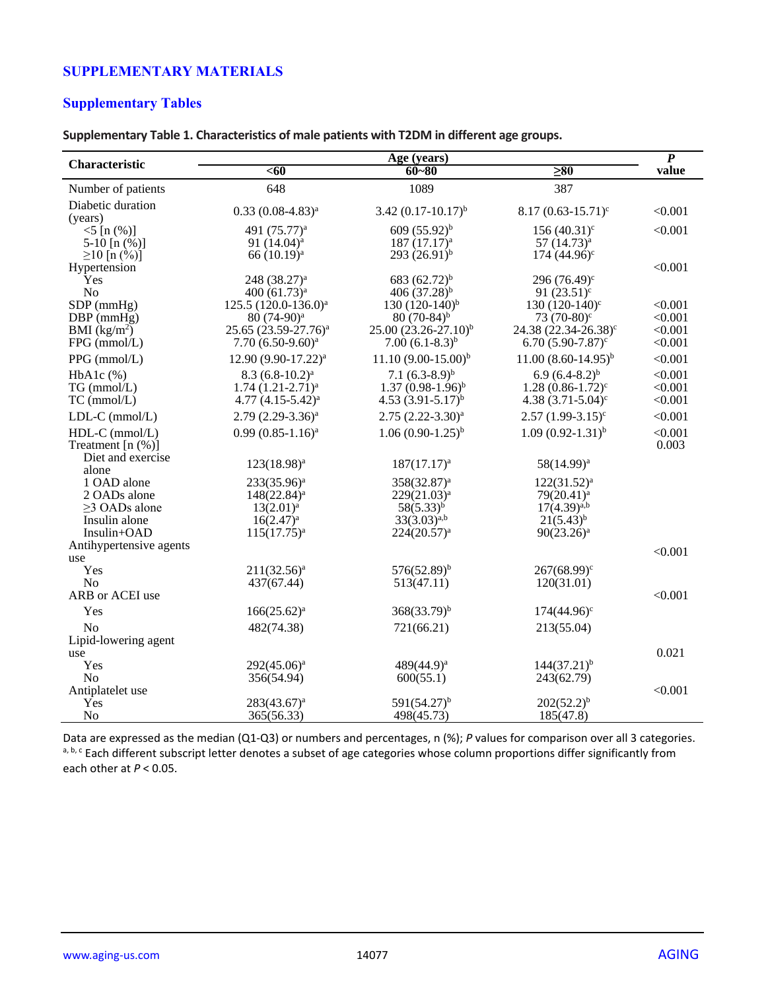# **SUPPLEMENTARY MATERIALS**

# **Supplementary Tables**

#### **Supplementary Table 1. Characteristics of male patients with T2DM in different age groups.**

|                                                                                    |                                                                                              | Age (years)                                                                              |                                                                                        | $\overline{P}$                |
|------------------------------------------------------------------------------------|----------------------------------------------------------------------------------------------|------------------------------------------------------------------------------------------|----------------------------------------------------------------------------------------|-------------------------------|
| Characteristic                                                                     | $60$                                                                                         | $60 - 80$                                                                                | $\overline{\geq}80$                                                                    | value                         |
| Number of patients                                                                 | 648                                                                                          | 1089                                                                                     | 387                                                                                    |                               |
| Diabetic duration<br>(years)                                                       | $0.33(0.08-4.83)^{a}$                                                                        | $3.42 (0.17 - 10.17)^{b}$                                                                | $8.17(0.63 - 15.71)^c$                                                                 | < 0.001                       |
| $<$ 5 [n $(\%)$ ]<br>5-10 $[n (%)]$<br>$≥10$ [n $(\frac{6}{0})$ ]                  | 491 (75.77) <sup>a</sup><br>91 $(14.04)^a$<br>$66(10.19)^a$                                  | 609 $(55.92)^{b}$<br>$187 (17.17)^a$<br>$293(26.91)^{b}$                                 | 156 $(40.31)^c$<br>$57(14.73)^a$<br>$174(44.96)$ <sup>c</sup>                          | < 0.001                       |
| Hypertension<br>Yes<br>No<br>$SDP$ (mmHg)                                          | 248 (38.27) <sup>a</sup><br>400 (61.73) <sup>a</sup><br>125.5 (120.0-136.0) <sup>a</sup>     | 683 $(62.72)^{b}$<br>406 $(37.28)^{b}$<br>130 $(120-140)^{b}$                            | 296 $(76.49)^c$<br>91 $(23.51)^c$<br>130 $(120-140)$ °                                 | < 0.001<br>< 0.001            |
| $DBP$ (mm $Hg$ )<br>BMI $(kg/m^2)$<br>FPG (mmol/L)                                 | 80 (74-90) <sup>a</sup><br>25.65 (23.59-27.76) <sup>a</sup><br>7.70 (6.50-9.60) <sup>a</sup> | $80(70-84)$ <sup>b</sup><br>$25.00(23.26 - 27.10)^{b}$<br>7.00 $(6.1-8.3)^{b}$           | 73 $(70-80)$ <sup>c</sup><br>$24.38 (22.34 - 26.38)^c$<br>6.70 $(5.90 - 7.87)^c$       | < 0.001<br>< 0.001<br>< 0.001 |
| PPG (mmol/L)                                                                       | 12.90 (9.90-17.22) <sup>a</sup>                                                              | $11.10 (9.00 - 15.00)^{b}$                                                               | $11.00(8.60-14.95)^{b}$                                                                | < 0.001                       |
| $HbA1c$ (%)<br>TG (mmol/L)<br>$TC$ (mmol/ $L$ )                                    | $8.3 (6.8-10.2)^a$<br>$1.74(1.21-2.71)^a$<br>4.77 $(4.15-5.42)^a$                            | 7.1 $(6.3-8.9)^{b}$<br>$1.37(0.98-1.96)^{b}$<br>4.53 $(3.91 - 5.17)^b$                   | $6.9(6.4-8.2)^{b}$<br>$1.28(0.86-1.72)^c$<br>4.38 $(3.71 - 5.04)^c$                    | < 0.001<br>< 0.001<br>< 0.001 |
| LDL-C (mmol/L)                                                                     | $2.79(2.29-3.36)^a$                                                                          | $2.75$ $(2.22 - 3.30)^a$                                                                 | $2.57(1.99-3.15)^c$                                                                    | < 0.001                       |
| HDL-C (mmol/L)<br>Treatment $[n (%)]$                                              | $0.99(0.85 - 1.16)^a$                                                                        | $1.06(0.90-1.25)^{b}$                                                                    | $1.09(0.92-1.31)^{b}$                                                                  | < 0.001<br>0.003              |
| Diet and exercise<br>alone                                                         | $123(18.98)^{a}$                                                                             | $187(17.17)^a$                                                                           | $58(14.99)^a$                                                                          |                               |
| 1 OAD alone<br>2 OADs alone<br>$\geq$ 3 OADs alone<br>Insulin alone<br>Insulin+OAD | $233(35.96)^{a}$<br>$148(22.84)^a$<br>$13(2.01)^a$<br>$16(2.47)^a$<br>$115(17.75)^{a}$       | $358(32.87)^a$<br>$229(21.03)^a$<br>$58(5.33)^{b}$<br>$33(3.03)^{a,b}$<br>$224(20.57)^a$ | $122(31.52)^a$<br>$79(20.41)^a$<br>$17(4.39)^{a,b}$<br>$21(5.43)^{b}$<br>$90(23.26)^a$ |                               |
| Antihypertensive agents<br>use                                                     |                                                                                              |                                                                                          |                                                                                        | < 0.001                       |
| Yes<br>N <sub>o</sub>                                                              | $211(32.56)^a$<br>437(67.44)                                                                 | $576(52.89)^{b}$<br>513(47.11)                                                           | $267(68.99)^c$<br>120(31.01)                                                           |                               |
| ARB or ACEI use                                                                    |                                                                                              |                                                                                          |                                                                                        | < 0.001                       |
| Yes<br>No                                                                          | $166(25.62)^a$<br>482(74.38)                                                                 | $368(33.79)^b$<br>721(66.21)                                                             | $174(44.96)^{\circ}$<br>213(55.04)                                                     |                               |
| Lipid-lowering agent                                                               |                                                                                              |                                                                                          |                                                                                        |                               |
| use                                                                                |                                                                                              |                                                                                          |                                                                                        | 0.021                         |
| Yes<br>N <sub>o</sub>                                                              | $292(45.06)^a$<br>356(54.94)                                                                 | 489(44.9) <sup>a</sup><br>600(55.1)                                                      | $144(37.21)^{b}$<br>243(62.79)                                                         |                               |
| Antiplatelet use<br>Yes                                                            | $283(43.67)^a$                                                                               | $591(54.27)^{b}$                                                                         | $202(52.2)^{b}$                                                                        | < 0.001                       |
| N <sub>o</sub>                                                                     | 365(56.33)                                                                                   | 498(45.73)                                                                               | 185(47.8)                                                                              |                               |

Data are expressed as the median (Q1-Q3) or numbers and percentages, n (%); *P* values for comparison over all 3 categories. a, b, c Each different subscript letter denotes a subset of age categories whose column proportions differ significantly from each other at *P* < 0.05.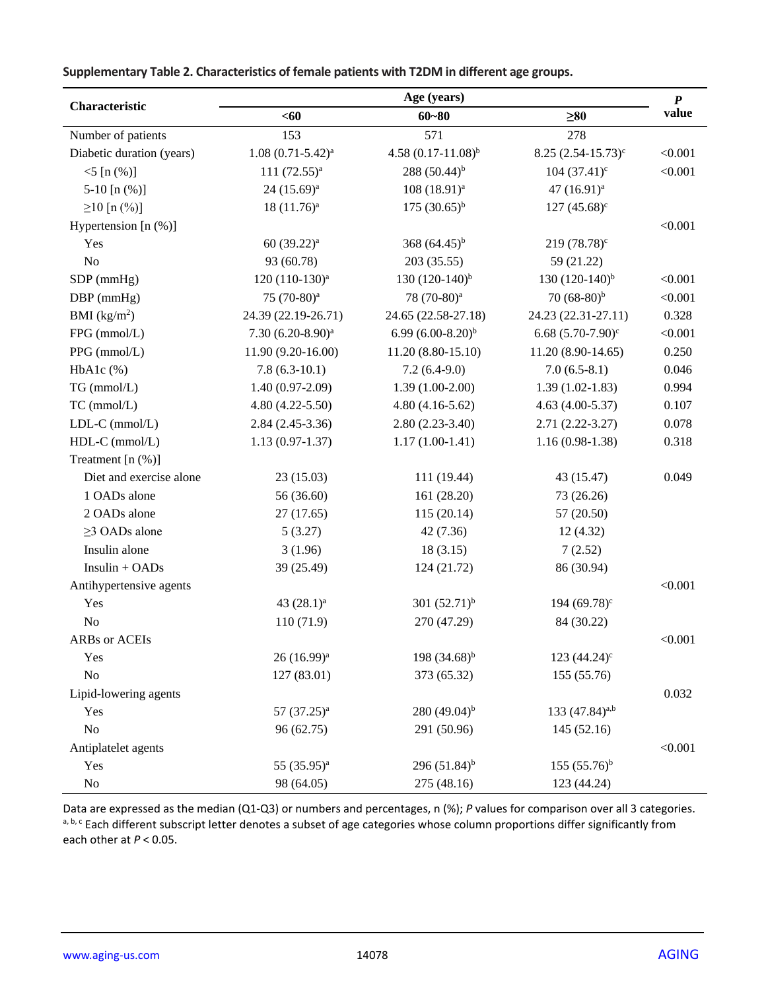| Characteristic            |                            | Age (years)               |                                 | $\boldsymbol{P}$ |
|---------------------------|----------------------------|---------------------------|---------------------------------|------------------|
|                           | $60$                       | $60 - 80$                 | $\geq 80$                       | value            |
| Number of patients        | 153                        | 571                       | 278                             |                  |
| Diabetic duration (years) | $1.08(0.71-5.42)^a$        | 4.58 $(0.17 - 11.08)^{b}$ | $8.25 (2.54 - 15.73)^c$         | < 0.001          |
| $<$ 5 [n $(\%)$ ]         | 111 $(72.55)^a$            | 288 $(50.44)^{b}$         | $104(37.41)^c$                  | < 0.001          |
| 5-10 $[n (\%)]$           | 24 (15.69) <sup>a</sup>    | $108(18.91)^a$            | 47 (16.91) <sup>a</sup>         |                  |
| $\geq$ 10 [n (%)]         | $18(11.76)^a$              | $175 (30.65)^{b}$         | $127(45.68)^c$                  |                  |
| Hypertension $[n (\%)]$   |                            |                           |                                 | < 0.001          |
| Yes                       | 60 (39.22) <sup>a</sup>    | 368 $(64.45)^{b}$         | $219(78.78)^c$                  |                  |
| $\rm No$                  | 93 (60.78)                 | 203 (35.55)               | 59 (21.22)                      |                  |
| SDP (mmHg)                | 120 (110-130) <sup>a</sup> | 130 $(120-140)^{b}$       | 130 $(120-140)^{b}$             | < 0.001          |
| DBP (mmHg)                | 75 (70-80) <sup>a</sup>    | 78 (70-80) <sup>a</sup>   | 70 $(68-80)^b$                  | < 0.001          |
| BMI (kg/m <sup>2</sup> )  | 24.39 (22.19-26.71)        | 24.65 (22.58-27.18)       | 24.23 (22.31-27.11)             | 0.328            |
| FPG (mmol/L)              | $7.30 (6.20 - 8.90)^a$     | 6.99 $(6.00-8.20)^{b}$    | 6.68 $(5.70-7.90)$ <sup>c</sup> | < 0.001          |
| PPG (mmol/L)              | 11.90 (9.20-16.00)         | $11.20(8.80-15.10)$       | 11.20 (8.90-14.65)              | 0.250            |
| $HbA1c$ (%)               | $7.8(6.3-10.1)$            | $7.2(6.4-9.0)$            | $7.0(6.5-8.1)$                  | 0.046            |
| TG (mmol/L)               | $1.40(0.97-2.09)$          | $1.39(1.00-2.00)$         | $1.39(1.02-1.83)$               | 0.994            |
| $TC$ (mmol/L)             | $4.80(4.22 - 5.50)$        | $4.80(4.16-5.62)$         | $4.63(4.00-5.37)$               | 0.107            |
| LDL-C (mmol/L)            | $2.84(2.45-3.36)$          | $2.80(2.23-3.40)$         | $2.71(2.22 - 3.27)$             | 0.078            |
| HDL-C (mmol/L)            | $1.13(0.97-1.37)$          | $1.17(1.00-1.41)$         | $1.16(0.98-1.38)$               | 0.318            |
| Treatment [n (%)]         |                            |                           |                                 |                  |
| Diet and exercise alone   | 23 (15.03)                 | 111 (19.44)               | 43 (15.47)                      | 0.049            |
| 1 OADs alone              | 56 (36.60)                 | 161 (28.20)               | 73 (26.26)                      |                  |
| 2 OADs alone              | 27(17.65)                  | 115(20.14)                | 57 (20.50)                      |                  |
| $\geq$ 3 OADs alone       | 5(3.27)                    | 42 (7.36)                 | 12(4.32)                        |                  |
| Insulin alone             | 3(1.96)                    | 18(3.15)                  | 7(2.52)                         |                  |
| Insulin + OADs            | 39 (25.49)                 | 124 (21.72)               | 86 (30.94)                      |                  |
| Antihypertensive agents   |                            |                           |                                 | < 0.001          |
| Yes                       | 43 $(28.1)^a$              | 301 $(52.71)^{b}$         | 194 $(69.78)^c$                 |                  |
| $\rm No$                  | 110 (71.9)                 | 270 (47.29)               | 84 (30.22)                      |                  |
| ARBs or ACEIs             |                            |                           |                                 | < 0.001          |
| Yes                       | $26(16.99)^{a}$            | 198 $(34.68)^{b}$         | 123 $(44.24)$ <sup>c</sup>      |                  |
| No                        | 127 (83.01)                | 373 (65.32)               | 155 (55.76)                     |                  |
| Lipid-lowering agents     |                            |                           |                                 | 0.032            |
| Yes                       | $57(37.25)^a$              | 280 $(49.04)^{b}$         | 133 (47.84) <sup>a,b</sup>      |                  |
| No                        | 96 (62.75)                 | 291 (50.96)               | 145 (52.16)                     |                  |
| Antiplatelet agents       |                            |                           |                                 | < 0.001          |
| Yes                       | 55 (35.95) <sup>a</sup>    | 296 $(51.84)^{b}$         | $155(55.76)^b$                  |                  |
| $\rm No$                  | 98 (64.05)                 | 275 (48.16)               | 123 (44.24)                     |                  |

**Supplementary Table 2. Characteristics of female patients with T2DM in different age groups.**

Data are expressed as the median (Q1-Q3) or numbers and percentages, n (%); *P* values for comparison over all 3 categories. a, b, c Each different subscript letter denotes a subset of age categories whose column proportions differ significantly from each other at *P* < 0.05.